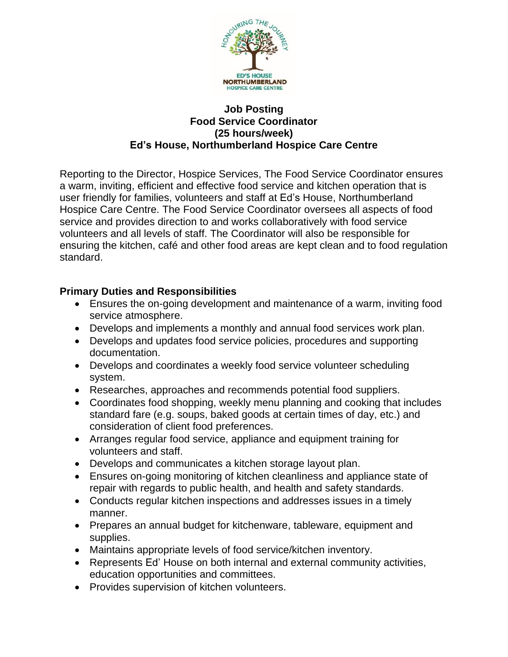

## **Job Posting Food Service Coordinator (25 hours/week) Ed's House, Northumberland Hospice Care Centre**

Reporting to the Director, Hospice Services, The Food Service Coordinator ensures a warm, inviting, efficient and effective food service and kitchen operation that is user friendly for families, volunteers and staff at Ed's House, Northumberland Hospice Care Centre. The Food Service Coordinator oversees all aspects of food service and provides direction to and works collaboratively with food service volunteers and all levels of staff. The Coordinator will also be responsible for ensuring the kitchen, café and other food areas are kept clean and to food regulation standard.

## **Primary Duties and Responsibilities**

- Ensures the on-going development and maintenance of a warm, inviting food service atmosphere.
- Develops and implements a monthly and annual food services work plan.
- Develops and updates food service policies, procedures and supporting documentation.
- Develops and coordinates a weekly food service volunteer scheduling system.
- Researches, approaches and recommends potential food suppliers.
- Coordinates food shopping, weekly menu planning and cooking that includes standard fare (e.g. soups, baked goods at certain times of day, etc.) and consideration of client food preferences.
- Arranges regular food service, appliance and equipment training for volunteers and staff.
- Develops and communicates a kitchen storage layout plan.
- Ensures on-going monitoring of kitchen cleanliness and appliance state of repair with regards to public health, and health and safety standards.
- Conducts regular kitchen inspections and addresses issues in a timely manner.
- Prepares an annual budget for kitchenware, tableware, equipment and supplies.
- Maintains appropriate levels of food service/kitchen inventory.
- Represents Ed' House on both internal and external community activities, education opportunities and committees.
- Provides supervision of kitchen volunteers.